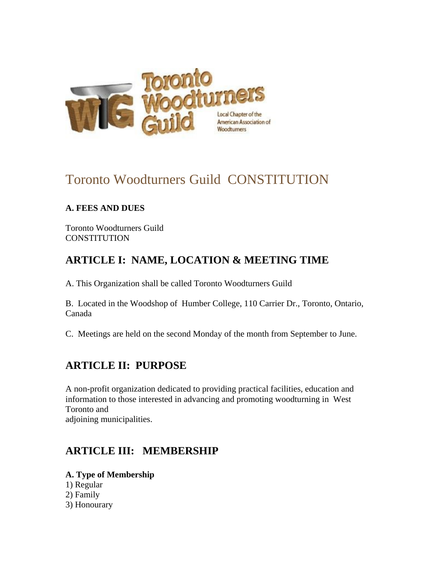

# Toronto Woodturners Guild CONSTITUTION

### **A. FEES AND DUES**

Toronto Woodturners Guild CONSTITUTION

## **ARTICLE I: NAME, LOCATION & MEETING TIME**

A. This Organization shall be called Toronto Woodturners Guild

B. Located in the Woodshop of Humber College, 110 Carrier Dr., Toronto, Ontario, Canada

C. Meetings are held on the second Monday of the month from September to June.

## **ARTICLE II: PURPOSE**

A non-profit organization dedicated to providing practical facilities, education and information to those interested in advancing and promoting woodturning in West Toronto and adjoining municipalities.

## **ARTICLE III: MEMBERSHIP**

**A. Type of Membership** 1) Regular

- 2) Family
- 3) Honourary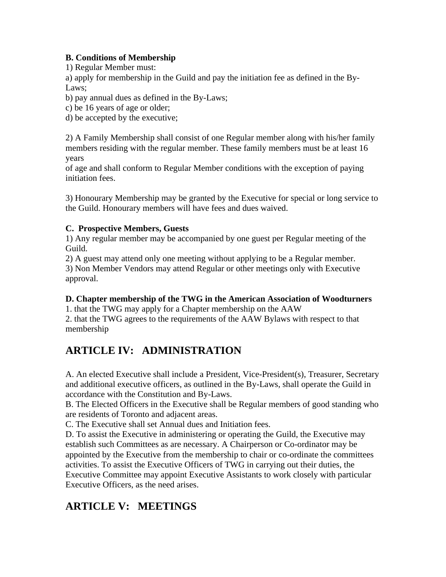### **B. Conditions of Membership**

1) Regular Member must:

a) apply for membership in the Guild and pay the initiation fee as defined in the By-Laws;

b) pay annual dues as defined in the By-Laws;

c) be 16 years of age or older;

d) be accepted by the executive;

2) A Family Membership shall consist of one Regular member along with his/her family members residing with the regular member. These family members must be at least 16 years

of age and shall conform to Regular Member conditions with the exception of paying initiation fees.

3) Honourary Membership may be granted by the Executive for special or long service to the Guild. Honourary members will have fees and dues waived.

### **C. Prospective Members, Guests**

1) Any regular member may be accompanied by one guest per Regular meeting of the Guild.

2) A guest may attend only one meeting without applying to be a Regular member. 3) Non Member Vendors may attend Regular or other meetings only with Executive approval.

### **D. Chapter membership of the TWG in the American Association of Woodturners**

1. that the TWG may apply for a Chapter membership on the AAW

2. that the TWG agrees to the requirements of the AAW Bylaws with respect to that membership

# **ARTICLE IV: ADMINISTRATION**

A. An elected Executive shall include a President, Vice-President(s), Treasurer, Secretary and additional executive officers, as outlined in the By-Laws, shall operate the Guild in accordance with the Constitution and By-Laws.

B. The Elected Officers in the Executive shall be Regular members of good standing who are residents of Toronto and adjacent areas.

C. The Executive shall set Annual dues and Initiation fees.

D. To assist the Executive in administering or operating the Guild, the Executive may establish such Committees as are necessary. A Chairperson or Co-ordinator may be appointed by the Executive from the membership to chair or co-ordinate the committees activities. To assist the Executive Officers of TWG in carrying out their duties, the Executive Committee may appoint Executive Assistants to work closely with particular Executive Officers, as the need arises.

# **ARTICLE V: MEETINGS**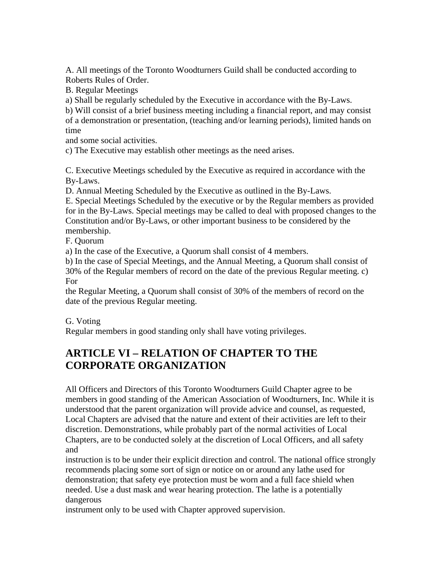A. All meetings of the Toronto Woodturners Guild shall be conducted according to Roberts Rules of Order.

B. Regular Meetings

a) Shall be regularly scheduled by the Executive in accordance with the By-Laws.

b) Will consist of a brief business meeting including a financial report, and may consist of a demonstration or presentation, (teaching and/or learning periods), limited hands on time

and some social activities.

c) The Executive may establish other meetings as the need arises.

C. Executive Meetings scheduled by the Executive as required in accordance with the By-Laws.

D. Annual Meeting Scheduled by the Executive as outlined in the By-Laws.

E. Special Meetings Scheduled by the executive or by the Regular members as provided for in the By-Laws. Special meetings may be called to deal with proposed changes to the Constitution and/or By-Laws, or other important business to be considered by the membership.

F. Quorum

a) In the case of the Executive, a Quorum shall consist of 4 members.

b) In the case of Special Meetings, and the Annual Meeting, a Quorum shall consist of 30% of the Regular members of record on the date of the previous Regular meeting. c) For

the Regular Meeting, a Quorum shall consist of 30% of the members of record on the date of the previous Regular meeting.

### G. Voting

Regular members in good standing only shall have voting privileges.

## **ARTICLE VI – RELATION OF CHAPTER TO THE CORPORATE ORGANIZATION**

All Officers and Directors of this Toronto Woodturners Guild Chapter agree to be members in good standing of the American Association of Woodturners, Inc. While it is understood that the parent organization will provide advice and counsel, as requested, Local Chapters are advised that the nature and extent of their activities are left to their discretion. Demonstrations, while probably part of the normal activities of Local Chapters, are to be conducted solely at the discretion of Local Officers, and all safety and

instruction is to be under their explicit direction and control. The national office strongly recommends placing some sort of sign or notice on or around any lathe used for demonstration; that safety eye protection must be worn and a full face shield when needed. Use a dust mask and wear hearing protection. The lathe is a potentially dangerous

instrument only to be used with Chapter approved supervision.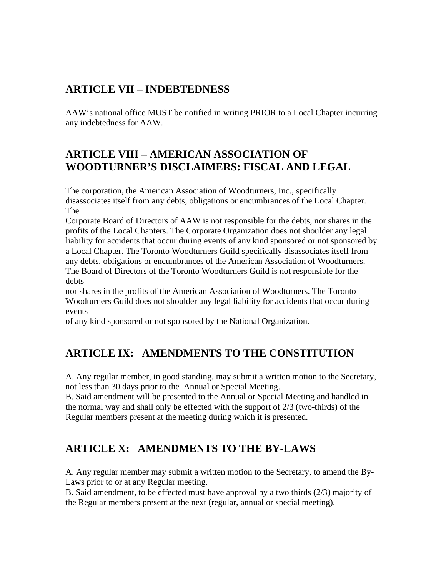## **ARTICLE VII – INDEBTEDNESS**

AAW's national office MUST be notified in writing PRIOR to a Local Chapter incurring any indebtedness for AAW.

## **ARTICLE VIII – AMERICAN ASSOCIATION OF WOODTURNER'S DISCLAIMERS: FISCAL AND LEGAL**

The corporation, the American Association of Woodturners, Inc., specifically disassociates itself from any debts, obligations or encumbrances of the Local Chapter. The

Corporate Board of Directors of AAW is not responsible for the debts, nor shares in the profits of the Local Chapters. The Corporate Organization does not shoulder any legal liability for accidents that occur during events of any kind sponsored or not sponsored by a Local Chapter. The Toronto Woodturners Guild specifically disassociates itself from any debts, obligations or encumbrances of the American Association of Woodturners. The Board of Directors of the Toronto Woodturners Guild is not responsible for the debts

nor shares in the profits of the American Association of Woodturners. The Toronto Woodturners Guild does not shoulder any legal liability for accidents that occur during events

of any kind sponsored or not sponsored by the National Organization.

## **ARTICLE IX: AMENDMENTS TO THE CONSTITUTION**

A. Any regular member, in good standing, may submit a written motion to the Secretary, not less than 30 days prior to the Annual or Special Meeting.

B. Said amendment will be presented to the Annual or Special Meeting and handled in the normal way and shall only be effected with the support of 2/3 (two-thirds) of the Regular members present at the meeting during which it is presented.

## **ARTICLE X: AMENDMENTS TO THE BY-LAWS**

A. Any regular member may submit a written motion to the Secretary, to amend the By-Laws prior to or at any Regular meeting.

B. Said amendment, to be effected must have approval by a two thirds (2/3) majority of the Regular members present at the next (regular, annual or special meeting).